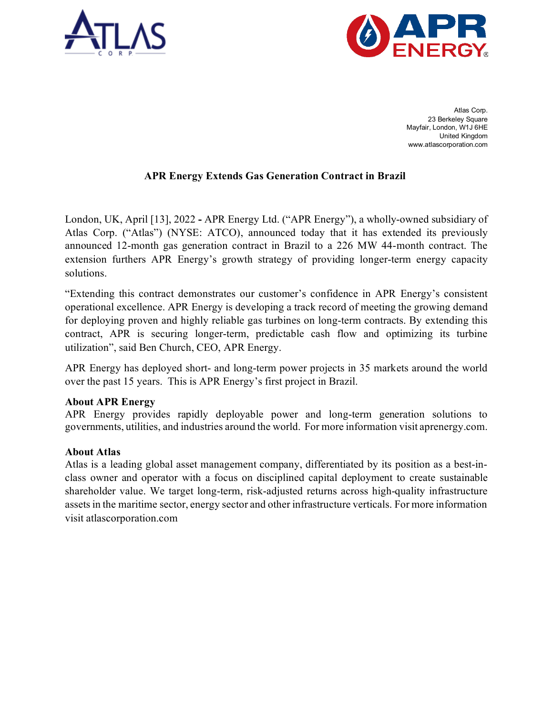



Atlas Corp. 23 Berkeley Square Mayfair, London, W1J 6HE United Kingdom www.atlascorporation.com

## **APR Energy Extends Gas Generation Contract in Brazil**

London, UK, April [13], 2022 **-** APR Energy Ltd. ("APR Energy"), a wholly-owned subsidiary of Atlas Corp. ("Atlas") (NYSE: ATCO), announced today that it has extended its previously announced 12-month gas generation contract in Brazil to a 226 MW 44-month contract. The extension furthers APR Energy's growth strategy of providing longer-term energy capacity solutions.

"Extending this contract demonstrates our customer's confidence in APR Energy's consistent operational excellence. APR Energy is developing a track record of meeting the growing demand for deploying proven and highly reliable gas turbines on long-term contracts. By extending this contract, APR is securing longer-term, predictable cash flow and optimizing its turbine utilization", said Ben Church, CEO, APR Energy.

APR Energy has deployed short- and long-term power projects in 35 markets around the world over the past 15 years. This is APR Energy's first project in Brazil.

## **About APR Energy**

APR Energy provides rapidly deployable power and long-term generation solutions to governments, utilities, and industries around the world. For more information visit aprenergy.com.

## **About Atlas**

Atlas is a leading global asset management company, differentiated by its position as a best-inclass owner and operator with a focus on disciplined capital deployment to create sustainable shareholder value. We target long-term, risk-adjusted returns across high-quality infrastructure assets in the maritime sector, energy sector and other infrastructure verticals. For more information visit atlascorporation.com